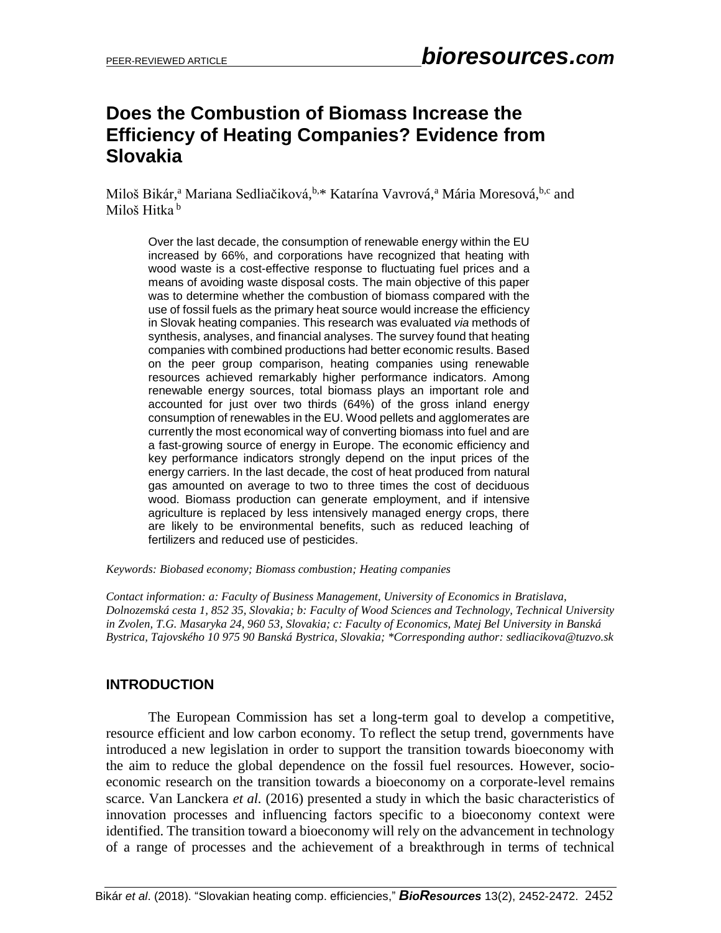# **Does the Combustion of Biomass Increase the Efficiency of Heating Companies? Evidence from Slovakia**

Miloš Bikár,<sup>a</sup> Mariana Sedliačiková, b.\* Katarína Vavrová,<sup>a</sup> Mária Moresová, <sup>b,c</sup> and Miloš Hitka<sup>b</sup>

Over the last decade, the consumption of renewable energy within the EU increased by 66%, and corporations have recognized that heating with wood waste is a cost-effective response to fluctuating fuel prices and a means of avoiding waste disposal costs. The main objective of this paper was to determine whether the combustion of biomass compared with the use of fossil fuels as the primary heat source would increase the efficiency in Slovak heating companies. This research was evaluated *via* methods of synthesis, analyses, and financial analyses. The survey found that heating companies with combined productions had better economic results. Based on the peer group comparison, heating companies using renewable resources achieved remarkably higher performance indicators. Among renewable energy sources, total biomass plays an important role and accounted for just over two thirds (64%) of the gross inland energy consumption of renewables in the EU. Wood pellets and agglomerates are currently the most economical way of converting biomass into fuel and are a fast-growing source of energy in Europe. The economic efficiency and key performance indicators strongly depend on the input prices of the energy carriers. In the last decade, the cost of heat produced from natural gas amounted on average to two to three times the cost of deciduous wood. Biomass production can generate employment, and if intensive agriculture is replaced by less intensively managed energy crops, there are likely to be environmental benefits, such as reduced leaching of fertilizers and reduced use of pesticides.

*Keywords: Biobased economy; Biomass combustion; Heating companies*

*Contact information: a: Faculty of Business Management, University of Economics in Bratislava, Dolnozemská cesta 1, 852 35, Slovakia; b: Faculty of Wood Sciences and Technology, Technical University in Zvolen, T.G. Masaryka 24, 960 53, Slovakia; c: Faculty of Economics, Matej Bel University in Banská Bystrica, Tajovského 10 975 90 Banská Bystrica, Slovakia; \*Corresponding author: sedliacikova@tuzvo.sk*

## **INTRODUCTION**

The European Commission has set a long-term goal to develop a competitive, resource efficient and low carbon economy. To reflect the setup trend, governments have introduced a new legislation in order to support the transition towards bioeconomy with the aim to reduce the global dependence on the fossil fuel resources. However, socioeconomic research on the transition towards a bioeconomy on a corporate-level remains scarce. Van Lancke[ra](http://www.sciencedirect.com/science/article/pii/S0961953416300666#aff1) *et al.* (2016) presented a study in which the basic characteristics of innovation processes and influencing factors specific to a bioeconomy context were identified. The transition toward a bioeconomy will rely on the advancement in technology of a range of processes and the achievement of a breakthrough in terms of technical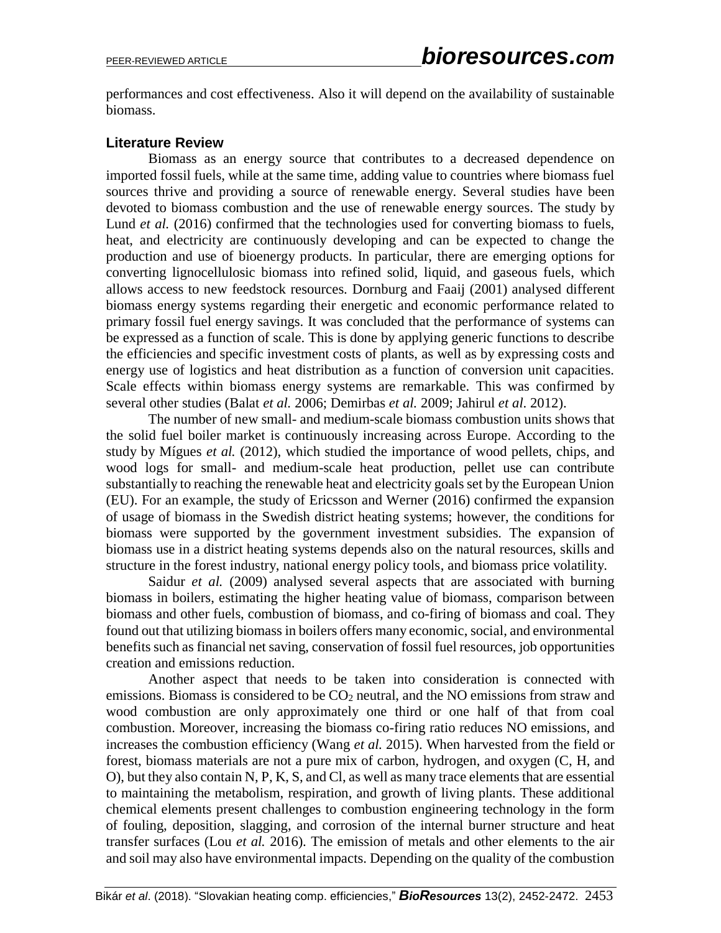performances and cost effectiveness. Also it will depend on the availability of sustainable biomass.

## **Literature Review**

Biomass as an energy source that contributes to a decreased dependence on imported fossil fuels, while at the same time, adding value to countries where biomass fuel sources thrive and providing a source of renewable energy. Several studies have been devoted to biomass combustion and the use of renewable energy sources. The study by Lund *et al.* (2016) confirmed that the technologies used for converting biomass to fuels, heat, and electricity are continuously developing and can be expected to change the production and use of bioenergy products. In particular, there are emerging options for converting lignocellulosic biomass into refined solid, liquid, and gaseous fuels, which allows access to new feedstock resources. Dornburg and Faaij (2001) analysed different biomass energy systems regarding their energetic and economic performance related to primary fossil fuel energy savings. It was concluded that the performance of systems can be expressed as a function of scale. This is done by applying generic functions to describe the efficiencies and specific investment costs of plants, as well as by expressing costs and energy use of logistics and heat distribution as a function of conversion unit capacities. Scale effects within biomass energy systems are remarkable. This was confirmed by several other studies (Balat *et al.* 2006; Demirbas *et al.* 2009; Jahirul *et al*. 2012).

The number of new small- and medium-scale biomass combustion units shows that the solid fuel boiler market is continuously increasing across Europe. According to the study by Mígues *et al.* (2012), which studied the importance of wood pellets, chips, and wood logs for small- and medium-scale heat production, pellet use can contribute substantially to reaching the renewable heat and electricity goals set by the European Union (EU). For an example, the study of Ericsson and Werner (2016) confirmed the expansion of usage of biomass in the Swedish district heating systems; however, the conditions for biomass were supported by the government investment subsidies. The expansion of biomass use in a district heating systems depends also on the natural resources, skills and structure in the forest industry, national energy policy tools, and biomass price volatility.

Saidur *et al.* (2009) analysed several aspects that are associated with burning biomass in boilers, estimating the higher heating value of biomass, comparison between biomass and other fuels, combustion of biomass, and co-firing of biomass and coal. They found out that utilizing biomass in boilers offers many economic, social, and environmental benefits such as financial net saving, conservation of fossil fuel resources, job opportunities creation and emissions reduction.

Another aspect that needs to be taken into consideration is connected with emissions. Biomass is considered to be  $CO<sub>2</sub>$  neutral, and the NO emissions from straw and wood combustion are only approximately one third or one half of that from coal combustion. Moreover, increasing the biomass co-firing ratio reduces NO emissions, and increases the combustion efficiency (Wang *et al.* 2015). When harvested from the field or forest, biomass materials are not a pure mix of carbon, hydrogen, and oxygen (C, H, and O), but they also contain N, P, K, S, and Cl, as well as many trace elements that are essential to maintaining the metabolism, respiration, and growth of living plants. These additional chemical elements present challenges to combustion engineering technology in the form of fouling, deposition, slagging, and corrosion of the internal burner structure and heat transfer surfaces (Lou *et al.* 2016). The emission of metals and other elements to the air and soil may also have environmental impacts. Depending on the quality of the combustion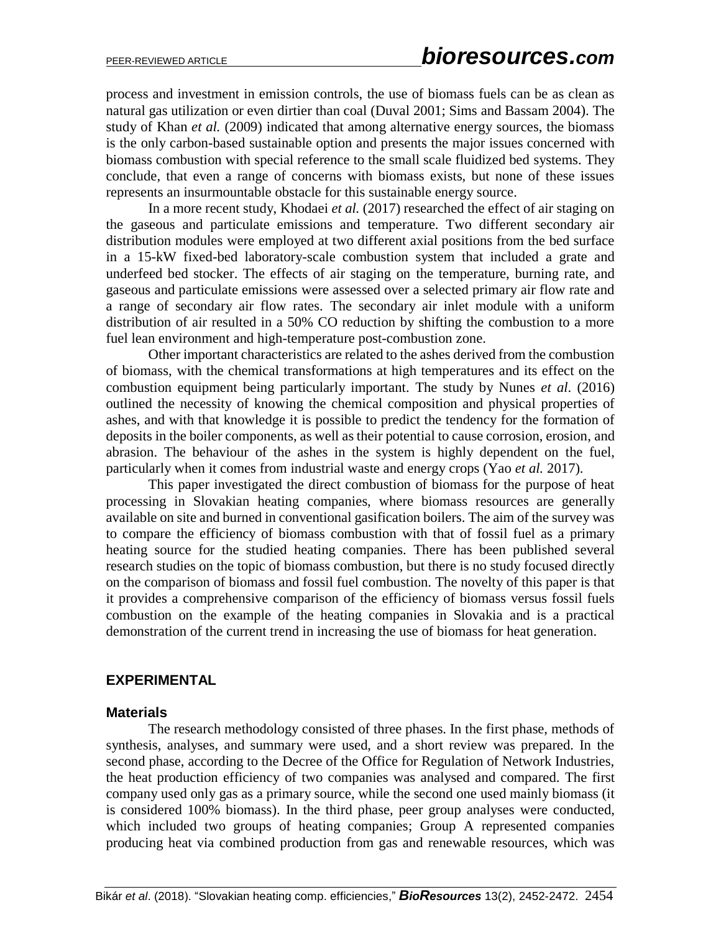process and investment in emission controls, the use of biomass fuels can be as clean as natural gas utilization or even dirtier than coal (Duval 2001; Sims and Bassam 2004). The study of Khan *et al.* (2009) indicated that among alternative energy sources, the biomass is the only carbon-based sustainable option and presents the major issues concerned with biomass combustion with special reference to the small scale fluidized bed systems. They conclude, that even a range of concerns with biomass exists, but none of these issues represents an insurmountable obstacle for this sustainable energy source.

In a more recent study, Khodaei *et al.* (2017) researched the effect of air staging on the gaseous and particulate emissions and temperature. Two different secondary air distribution modules were employed at two different axial positions from the bed surface in a 15-kW fixed-bed laboratory-scale combustion system that included a grate and underfeed bed stocker. The effects of air staging on the temperature, burning rate, and gaseous and particulate emissions were assessed over a selected primary air flow rate and a range of secondary air flow rates. The secondary air inlet module with a uniform distribution of air resulted in a 50% CO reduction by shifting the combustion to a more fuel lean environment and high-temperature post-combustion zone.

Other important characteristics are related to the ashes derived from the combustion of biomass, with the chemical transformations at high temperatures and its effect on the combustion equipment being particularly important. The study by Nunes *et al*. (2016) outlined the necessity of knowing the chemical composition and physical properties of ashes, and with that knowledge it is possible to predict the tendency for the formation of deposits in the boiler components, as well as their potential to cause corrosion, erosion, and abrasion. The behaviour of the ashes in the system is highly dependent on the fuel, particularly when it comes from industrial waste and energy crops (Yao *et al.* 2017).

This paper investigated the direct combustion of biomass for the purpose of heat processing in Slovakian heating companies, where biomass resources are generally available on site and burned in conventional gasification boilers. The aim of the survey was to compare the efficiency of biomass combustion with that of fossil fuel as a primary heating source for the studied heating companies. There has been published several research studies on the topic of biomass combustion, but there is no study focused directly on the comparison of biomass and fossil fuel combustion. The novelty of this paper is that it provides a comprehensive comparison of the efficiency of biomass versus fossil fuels combustion on the example of the heating companies in Slovakia and is a practical demonstration of the current trend in increasing the use of biomass for heat generation.

## **EXPERIMENTAL**

#### **Materials**

The research methodology consisted of three phases. In the first phase, methods of synthesis, analyses, and summary were used, and a short review was prepared. In the second phase, according to the Decree of the Office for Regulation of Network Industries, the heat production efficiency of two companies was analysed and compared. The first company used only gas as a primary source, while the second one used mainly biomass (it is considered 100% biomass). In the third phase, peer group analyses were conducted, which included two groups of heating companies; Group A represented companies producing heat via combined production from gas and renewable resources, which was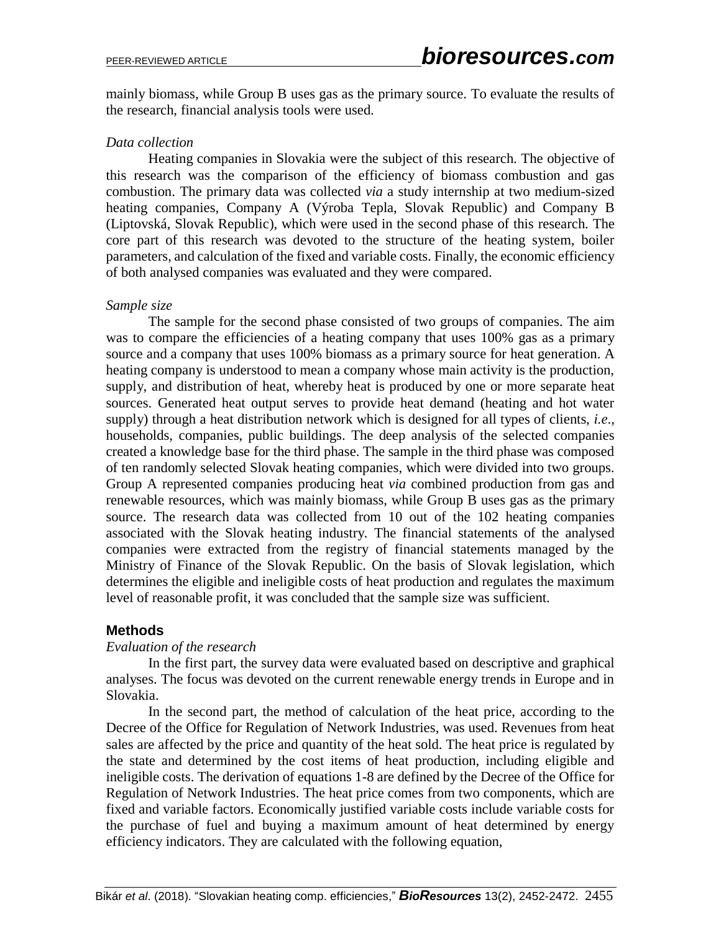mainly biomass, while Group B uses gas as the primary source. To evaluate the results of the research, financial analysis tools were used.

## *Data collection*

Heating companies in Slovakia were the subject of this research. The objective of this research was the comparison of the efficiency of biomass combustion and gas combustion. The primary data was collected *via* a study internship at two medium-sized heating companies, Company A (Výroba Tepla, Slovak Republic) and Company B (Liptovská, Slovak Republic), which were used in the second phase of this research. The core part of this research was devoted to the structure of the heating system, boiler parameters, and calculation of the fixed and variable costs. Finally, the economic efficiency of both analysed companies was evaluated and they were compared.

## *Sample size*

The sample for the second phase consisted of two groups of companies. The aim was to compare the efficiencies of a heating company that uses 100% gas as a primary source and a company that uses 100% biomass as a primary source for heat generation. A heating company is understood to mean a company whose main activity is the production, supply, and distribution of heat, whereby heat is produced by one or more separate heat sources. Generated heat output serves to provide heat demand (heating and hot water supply) through a heat distribution network which is designed for all types of clients, *i.e*., households, companies, public buildings. The deep analysis of the selected companies created a knowledge base for the third phase. The sample in the third phase was composed of ten randomly selected Slovak heating companies, which were divided into two groups. Group A represented companies producing heat *via* combined production from gas and renewable resources, which was mainly biomass, while Group B uses gas as the primary source. The research data was collected from 10 out of the 102 heating companies associated with the Slovak heating industry. The financial statements of the analysed companies were extracted from the registry of financial statements managed by the Ministry of Finance of the Slovak Republic. On the basis of Slovak legislation, which determines the eligible and ineligible costs of heat production and regulates the maximum level of reasonable profit, it was concluded that the sample size was sufficient.

## **Methods**

## *Evaluation of the research*

In the first part, the survey data were evaluated based on descriptive and graphical analyses. The focus was devoted on the current renewable energy trends in Europe and in Slovakia.

In the second part, the method of calculation of the heat price, according to the Decree of the Office for Regulation of Network Industries, was used. Revenues from heat sales are affected by the price and quantity of the heat sold. The heat price is regulated by the state and determined by the cost items of heat production, including eligible and ineligible costs. The derivation of equations 1-8 are defined by the Decree of the Office for Regulation of Network Industries. The heat price comes from two components, which are fixed and variable factors. Economically justified variable costs include variable costs for the purchase of fuel and buying a maximum amount of heat determined by energy efficiency indicators. They are calculated with the following equation,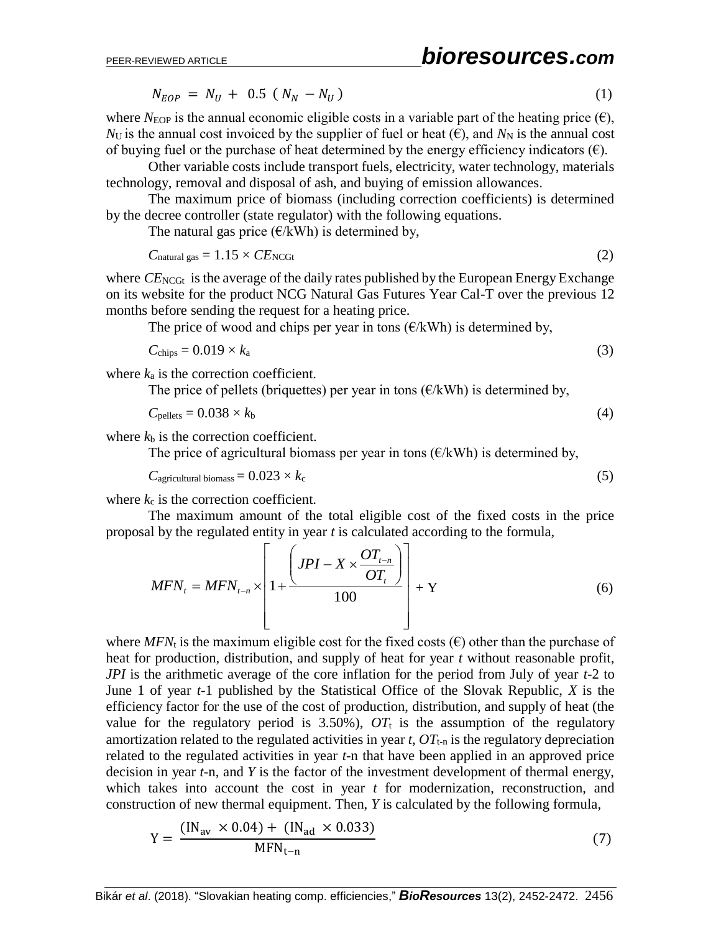# PEER-REVIEWED ARTICLE *bioresources.com*

$$
N_{EOP} = N_U + 0.5 (N_N - N_U) \tag{1}
$$

where  $N_{\text{EOP}}$  is the annual economic eligible costs in a variable part of the heating price  $(\epsilon)$ ,  $N_U$  is the annual cost invoiced by the supplier of fuel or heat  $(\epsilon)$ , and  $N_N$  is the annual cost of buying fuel or the purchase of heat determined by the energy efficiency indicators  $(\epsilon)$ .

Other variable costs include transport fuels, electricity, water technology, materials technology, removal and disposal of ash, and buying of emission allowances.

The maximum price of biomass (including correction coefficients) is determined by the decree controller (state regulator) with the following equations.

The natural gas price  $(\epsilon/kWh)$  is determined by,

$$
C_{\text{natural gas}} = 1.15 \times CE_{\text{NCGt}} \tag{2}
$$

where  $CE_{NCGt}$  is the average of the daily rates published by the European Energy Exchange on its website for the product NCG Natural Gas Futures Year Cal-T over the previous 12 months before sending the request for a heating price.

The price of wood and chips per year in tons  $(\epsilon/kWh)$  is determined by,

$$
C_{\text{chips}} = 0.019 \times k_a \tag{3}
$$

where  $k_a$  is the correction coefficient.

The price of pellets (briquettes) per year in tons  $(\epsilon/kWh)$  is determined by,

$$
C_{\text{pellets}} = 0.038 \times k_{\text{b}} \tag{4}
$$

where  $k<sub>b</sub>$  is the correction coefficient.

The price of agricultural biomass per year in tons  $(\epsilon/kWh)$  is determined by,

$$
C_{\text{agricultural biomass}} = 0.023 \times k_{\text{c}} \tag{5}
$$

where  $k_c$  is the correction coefficient.

The maximum amount of the total eligible cost of the fixed costs in the price proposal by the regulated entity in year *t* is calculated according to the formula,

$$
MFN_t = MFN_{t-n} \times \left[1 + \frac{\left(JPI - X \times \frac{OT_{t-n}}{OT_t}\right)}{100}\right] + Y
$$
 (6)

where *MFN*<sub>t</sub> is the maximum eligible cost for the fixed costs  $(\epsilon)$  other than the purchase of heat for production, distribution, and supply of heat for year *t* without reasonable profit, *JPI* is the arithmetic average of the core inflation for the period from July of year *t*-2 to June 1 of year *t*-1 published by the Statistical Office of the Slovak Republic, *X* is the efficiency factor for the use of the cost of production, distribution, and supply of heat (the value for the regulatory period is  $3.50\%$ ),  $OT<sub>t</sub>$  is the assumption of the regulatory amortization related to the regulated activities in year  $t$ ,  $OT_{t-n}$  is the regulatory depreciation related to the regulated activities in year *t*-n that have been applied in an approved price decision in year *t*-n, and *Y* is the factor of the investment development of thermal energy, which takes into account the cost in year *t* for modernization, reconstruction, and construction of new thermal equipment. Then, *Y* is calculated by the following formula,

$$
Y = \frac{(IN_{av} \times 0.04) + (IN_{ad} \times 0.033)}{MFN_{t-n}}
$$
(7)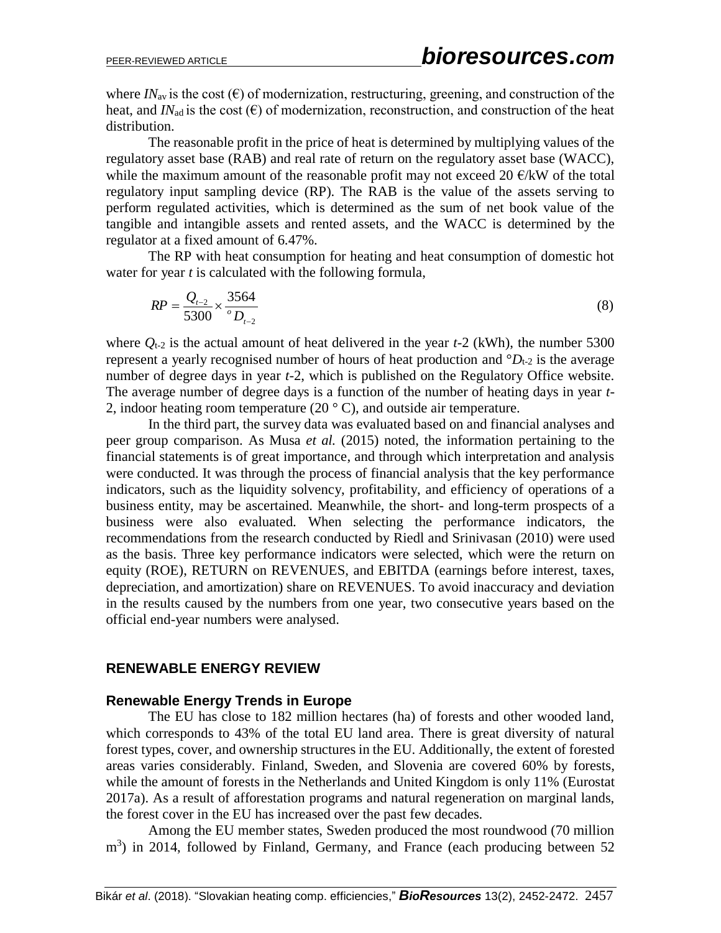where  $IN_{av}$  is the cost  $(\epsilon)$  of modernization, restructuring, greening, and construction of the heat, and *IN*<sub>ad</sub> is the cost  $(\epsilon)$  of modernization, reconstruction, and construction of the heat distribution.

The reasonable profit in the price of heat is determined by multiplying values of the regulatory asset base (RAB) and real rate of return on the regulatory asset base (WACC), while the maximum amount of the reasonable profit may not exceed 20  $\epsilon$ /kW of the total regulatory input sampling device (RP). The RAB is the value of the assets serving to perform regulated activities, which is determined as the sum of net book value of the tangible and intangible assets and rented assets, and the WACC is determined by the regulator at a fixed amount of 6.47%.

The RP with heat consumption for heating and heat consumption of domestic hot water for year *t* is calculated with the following formula,

$$
RP = \frac{Q_{t-2}}{5300} \times \frac{3564}{D_{t-2}}
$$
 (8)

where  $Q_{t-2}$  is the actual amount of heat delivered in the year  $t-2$  (kWh), the number 5300 represent a yearly recognised number of hours of heat production and  ${}^{\circ}D_{t-2}$  is the average number of degree days in year *t*-2, which is published on the Regulatory Office website. The average number of degree days is a function of the number of heating days in year *t*-2, indoor heating room temperature (20 $\degree$  C), and outside air temperature.

In the third part, the survey data was evaluated based on and financial analyses and peer group comparison. As Musa *et al.* (2015) noted, the information pertaining to the financial statements is of great importance, and through which interpretation and analysis were conducted. It was through the process of financial analysis that the key performance indicators, such as the liquidity solvency, profitability, and efficiency of operations of a business entity, may be ascertained. Meanwhile, the short- and long-term prospects of a business were also evaluated. When selecting the performance indicators, the recommendations from the research conducted by Riedl and Srinivasan (2010) were used as the basis. Three key performance indicators were selected, which were the return on equity (ROE), RETURN on REVENUES, and EBITDA (earnings before interest, taxes, depreciation, and amortization) share on REVENUES. To avoid inaccuracy and deviation in the results caused by the numbers from one year, two consecutive years based on the official end-year numbers were analysed.

## **RENEWABLE ENERGY REVIEW**

## **Renewable Energy Trends in Europe**

The EU has close to 182 million hectares (ha) of forests and other wooded land, which corresponds to 43% of the total EU land area. There is great diversity of natural forest types, cover, and ownership structures in the EU. Additionally, the extent of forested areas varies considerably. Finland, Sweden, and Slovenia are covered 60% by forests, while the amount of forests in the Netherlands and United Kingdom is only 11% (Eurostat 2017a). As a result of afforestation programs and natural regeneration on marginal lands, the forest cover in the EU has increased over the past few decades.

Among the EU member states, Sweden produced the most roundwood (70 million  $\text{m}^3$ ) in 2014, followed by Finland, Germany, and France (each producing between 52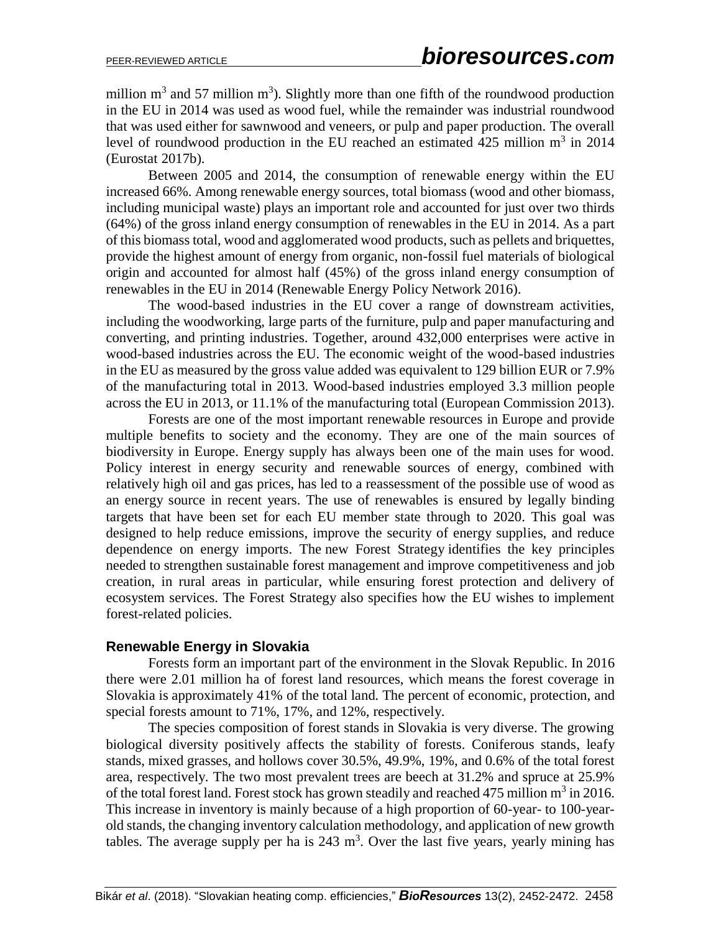million  $m^3$  and 57 million  $m^3$ ). Slightly more than one fifth of the roundwood production in the EU in 2014 was used as wood fuel, while the remainder was industrial roundwood that was used either for sawnwood and veneers, or pulp and paper production. The overall level of roundwood production in the EU reached an estimated  $425$  million  $m<sup>3</sup>$  in 2014 (Eurostat 2017b).

Between 2005 and 2014, the consumption of renewable energy within the EU increased 66%. Among renewable energy sources, total biomass (wood and other biomass, including municipal waste) plays an important role and accounted for just over two thirds (64%) of the gross inland energy consumption of renewables in the EU in 2014. As a part of this biomass total, wood and agglomerated wood products, such as pellets and briquettes, provide the highest amount of energy from organic, non-fossil fuel materials of biological origin and accounted for almost half (45%) of the gross inland energy consumption of renewables in the EU in 2014 (Renewable Energy Policy Network 2016).

The wood-based industries in the EU cover a range of downstream activities, including the woodworking, large parts of the furniture, pulp and paper manufacturing and converting, and printing industries. Together, around 432,000 enterprises were active in wood-based industries across the EU. The economic weight of the wood-based industries in the EU as measured by the gross value added was equivalent to 129 billion EUR or 7.9% of the manufacturing total in 2013. Wood-based industries employed 3.3 million people across the EU in 2013, or 11.1% of the manufacturing total (European Commission 2013).

Forests are one of the most important renewable resources in Europe and provide multiple benefits to society and the economy. They are one of the main sources of biodiversity in Europe. Energy supply has always been one of the main uses for wood. Policy interest in energy security and renewable sources of energy, combined with relatively high oil and gas prices, has led to a reassessment of the possible use of wood as an energy source in recent years. The use of renewables is ensured by legally binding targets that have been set for each EU member state through to 2020. This goal was designed to help reduce emissions, improve the security of energy supplies, and reduce dependence on energy imports. The new Forest Strategy identifies the key principles needed to strengthen sustainable forest management and improve competitiveness and job creation, in rural areas in particular, while ensuring forest protection and delivery of ecosystem services. The Forest Strategy also specifies how the EU wishes to implement forest-related policies.

## **Renewable Energy in Slovakia**

Forests form an important part of the environment in the Slovak Republic. In 2016 there were 2.01 million ha of forest land resources, which means the forest coverage in Slovakia is approximately 41% of the total land. The percent of economic, protection, and special forests amount to 71%, 17%, and 12%, respectively.

The species composition of forest stands in Slovakia is very diverse. The growing biological diversity positively affects the stability of forests. Coniferous stands, leafy stands, mixed grasses, and hollows cover 30.5%, 49.9%, 19%, and 0.6% of the total forest area, respectively. The two most prevalent trees are beech at 31.2% and spruce at 25.9% of the total forest land. Forest stock has grown steadily and reached 475 million  $m^3$  in 2016. This increase in inventory is mainly because of a high proportion of 60-year- to 100-yearold stands, the changing inventory calculation methodology, and application of new growth tables. The average supply per ha is  $243 \text{ m}^3$ . Over the last five years, yearly mining has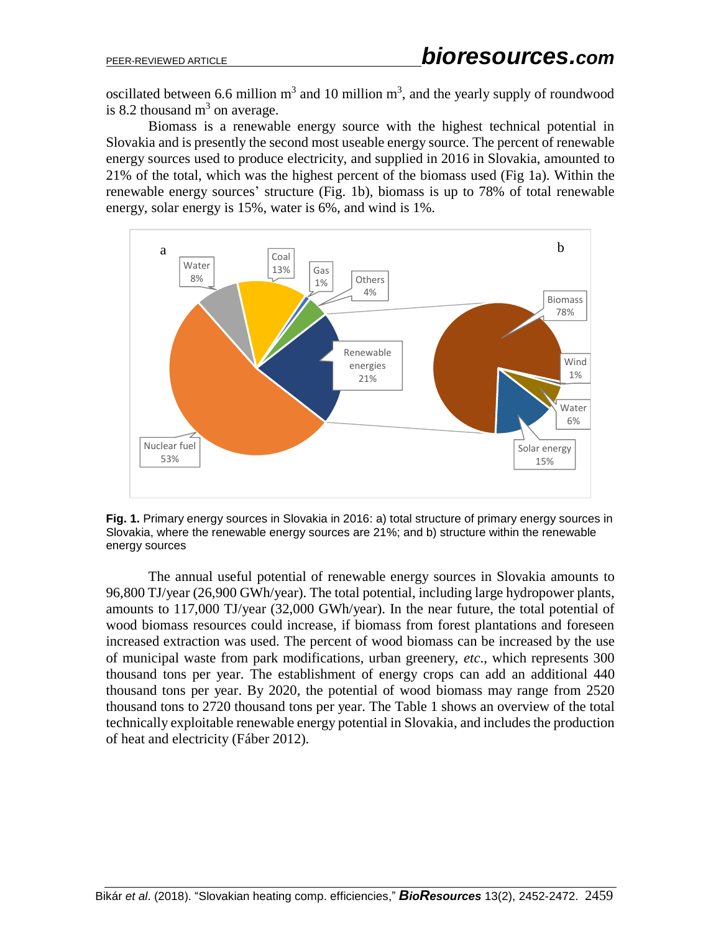oscillated between 6.6 million  $m^3$  and 10 million  $m^3$ , and the yearly supply of roundwood is 8.2 thousand  $m<sup>3</sup>$  on average.

Biomass is a renewable energy source with the highest technical potential in Slovakia and is presently the second most useable energy source. The percent of renewable energy sources used to produce electricity, and supplied in 2016 in Slovakia, amounted to 21% of the total, which was the highest percent of the biomass used (Fig 1a). Within the renewable energy sources' structure (Fig. 1b), biomass is up to 78% of total renewable energy, solar energy is 15%, water is 6%, and wind is 1%.



**Fig. 1.** Primary energy sources in Slovakia in 2016: a) total structure of primary energy sources in Slovakia, where the renewable energy sources are 21%; and b) structure within the renewable energy sources

The annual useful potential of renewable energy sources in Slovakia amounts to 96,800 TJ/year (26,900 GWh/year). The total potential, including large hydropower plants, amounts to 117,000 TJ/year (32,000 GWh/year). In the near future, the total potential of wood biomass resources could increase, if biomass from forest plantations and foreseen increased extraction was used. The percent of wood biomass can be increased by the use of municipal waste from park modifications, urban greenery, *etc*., which represents 300 thousand tons per year. The establishment of energy crops can add an additional 440 thousand tons per year. By 2020, the potential of wood biomass may range from 2520 thousand tons to 2720 thousand tons per year. The Table 1 shows an overview of the total technically exploitable renewable energy potential in Slovakia, and includes the production of heat and electricity (Fáber 2012).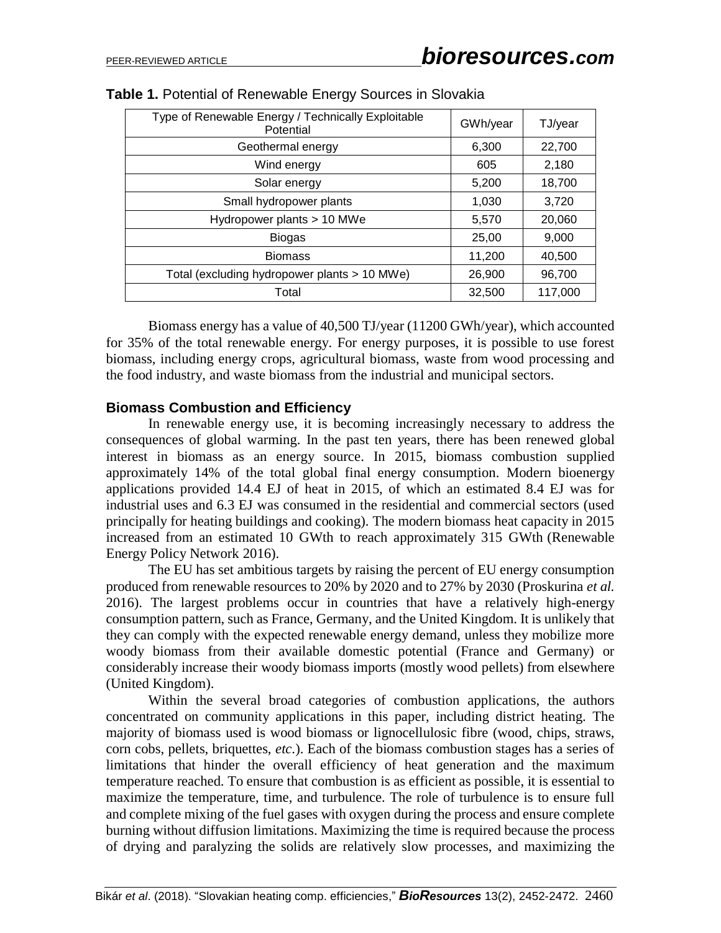| Type of Renewable Energy / Technically Exploitable<br>Potential | GWh/year | TJ/year |
|-----------------------------------------------------------------|----------|---------|
| Geothermal energy                                               | 6,300    | 22,700  |
| Wind energy                                                     | 605      | 2,180   |
| Solar energy                                                    | 5,200    | 18,700  |
| Small hydropower plants                                         | 1,030    | 3,720   |
| Hydropower plants > 10 MWe                                      | 5,570    | 20,060  |
| <b>Biogas</b>                                                   | 25,00    | 9,000   |
| <b>Biomass</b>                                                  | 11,200   | 40,500  |
| Total (excluding hydropower plants > 10 MWe)                    | 26,900   | 96,700  |
| Total                                                           | 32,500   | 117,000 |

#### **Table 1.** Potential of Renewable Energy Sources in Slovakia

Biomass energy has a value of 40,500 TJ/year (11200 GWh/year), which accounted for 35% of the total renewable energy. For energy purposes, it is possible to use forest biomass, including energy crops, agricultural biomass, waste from wood processing and the food industry, and waste biomass from the industrial and municipal sectors.

#### **Biomass Combustion and Efficiency**

In renewable energy use, it is becoming increasingly necessary to address the consequences of global warming. In the past ten years, there has been renewed global interest in biomass as an energy source. In 2015, biomass combustion supplied approximately 14% of the total global final energy consumption. Modern bioenergy applications provided 14.4 EJ of heat in 2015, of which an estimated 8.4 EJ was for industrial uses and 6.3 EJ was consumed in the residential and commercial sectors (used principally for heating buildings and cooking). The modern biomass heat capacity in 2015 increased from an estimated 10 GWth to reach approximately 315 GWth (Renewable Energy Policy Network 2016).

The EU has set ambitious targets by raising the percent of EU energy consumption produced from renewable resources to 20% by 2020 and to 27% by 2030 (Proskurina *et al.* 2016). The largest problems occur in countries that have a relatively high-energy consumption pattern, such as France, Germany, and the United Kingdom. It is unlikely that they can comply with the expected renewable energy demand, unless they mobilize more woody biomass from their available domestic potential (France and Germany) or considerably increase their woody biomass imports (mostly wood pellets) from elsewhere (United Kingdom).

Within the several broad categories of combustion applications, the authors concentrated on community applications in this paper, including district heating. The majority of biomass used is wood biomass or lignocellulosic fibre (wood, chips, straws, corn cobs, pellets, briquettes, *etc*.). Each of the biomass combustion stages has a series of limitations that hinder the overall efficiency of heat generation and the maximum temperature reached. To ensure that combustion is as efficient as possible, it is essential to maximize the temperature, time, and turbulence. The role of turbulence is to ensure full and complete mixing of the fuel gases with oxygen during the process and ensure complete burning without diffusion limitations. Maximizing the time is required because the process of drying and paralyzing the solids are relatively slow processes, and maximizing the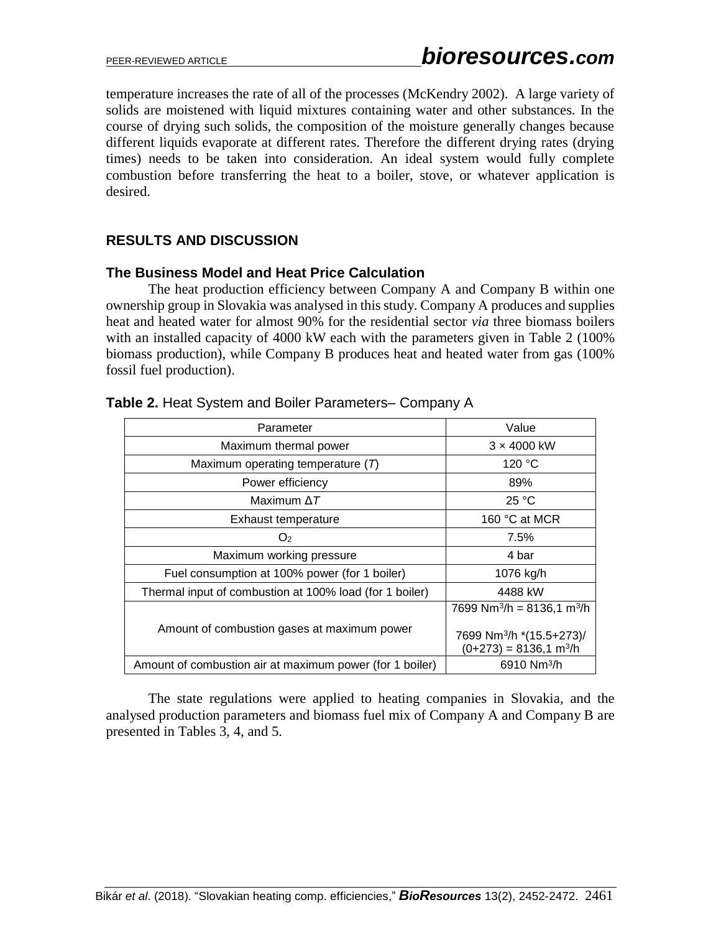temperature increases the rate of all of the processes (McKendry 2002). A large variety of solids are moistened with liquid mixtures containing water and other substances. In the course of drying such solids, the composition of the moisture generally changes because different liquids evaporate at different rates. Therefore the different drying rates (drying times) needs to be taken into consideration. An ideal system would fully complete combustion before transferring the heat to a boiler, stove, or whatever application is desired.

## **RESULTS AND DISCUSSION**

## **The Business Model and Heat Price Calculation**

The heat production efficiency between Company A and Company B within one ownership group in Slovakia was analysed in thisstudy. Company A produces and supplies heat and heated water for almost 90% for the residential sector *via* three biomass boilers with an installed capacity of 4000 kW each with the parameters given in Table 2 (100%) biomass production), while Company B produces heat and heated water from gas (100% fossil fuel production).

| Parameter                                                | Value                                                                                                                              |
|----------------------------------------------------------|------------------------------------------------------------------------------------------------------------------------------------|
| Maximum thermal power                                    | $3 \times 4000$ kW                                                                                                                 |
| Maximum operating temperature $(T)$                      | 120 °C                                                                                                                             |
| Power efficiency                                         | 89%                                                                                                                                |
| Maximum $\Delta T$                                       | 25 °C                                                                                                                              |
| Exhaust temperature                                      | 160 $\degree$ C at MCR                                                                                                             |
| O <sub>2</sub>                                           | 7.5%                                                                                                                               |
| Maximum working pressure                                 | 4 bar                                                                                                                              |
| Fuel consumption at 100% power (for 1 boiler)            | 1076 kg/h                                                                                                                          |
| Thermal input of combustion at 100% load (for 1 boiler)  | 4488 kW                                                                                                                            |
| Amount of combustion gases at maximum power              | 7699 Nm <sup>3</sup> /h = 8136,1 m <sup>3</sup> /h<br>7699 Nm <sup>3</sup> /h *(15.5+273)/<br>$(0+273) = 8136.1$ m <sup>3</sup> /h |
| Amount of combustion air at maximum power (for 1 boiler) | 6910 Nm <sup>3</sup> /h                                                                                                            |

## **Table 2.** Heat System and Boiler Parameters– Company A

The state regulations were applied to heating companies in Slovakia, and the analysed production parameters and biomass fuel mix of Company A and Company B are presented in Tables 3, 4, and 5.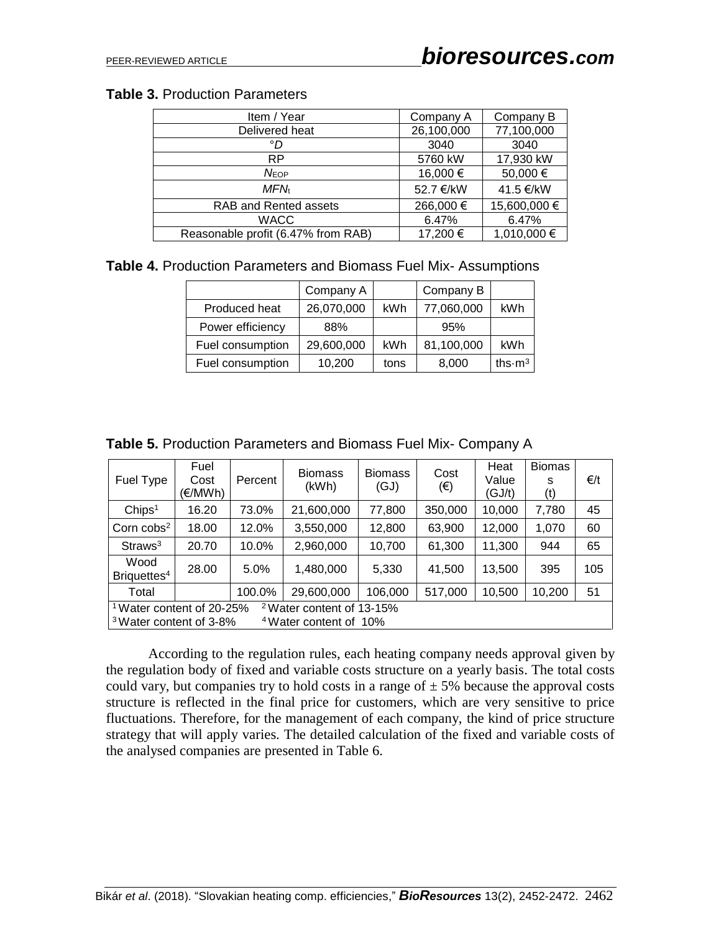## **Table 3.** Production Parameters

| Item / Year                        | Company A  | Company B    |
|------------------------------------|------------|--------------|
| Delivered heat                     | 26,100,000 | 77,100,000   |
| °D                                 | 3040       | 3040         |
| <b>RP</b>                          | 5760 kW    | 17,930 kW    |
| $N_{EOP}$                          | 16,000 €   | 50,000 €     |
| <b>MFN</b>                         | 52.7 €/kW  | 41.5 €/kW    |
| RAB and Rented assets              | 266,000 €  | 15,600,000 € |
| <b>WACC</b>                        | 6.47%      | 6.47%        |
| Reasonable profit (6.47% from RAB) | 17,200 €   | 1,010,000 €  |

**Table 4.** Production Parameters and Biomass Fuel Mix- Assumptions

|                  | Company A  |            | Company B  |                            |
|------------------|------------|------------|------------|----------------------------|
| Produced heat    | 26,070,000 | <b>kWh</b> | 77,060,000 | kWh                        |
| Power efficiency | 88%        |            | 95%        |                            |
| Fuel consumption | 29,600,000 | kWh        | 81,100,000 | kWh                        |
| Fuel consumption | 10,200     | tons       | 8,000      | ths $\cdot$ m <sup>3</sup> |

| Fuel Type                                                                                                                                               | Fuel<br>Cost<br>(€/MWh) | Percent | <b>Biomass</b><br>(kWh) | <b>Biomass</b><br>(GJ) | Cost<br>$(\epsilon)$ | Heat<br>Value<br>(GJ/t) | <b>Biomas</b><br>S<br>(t) | €/t |
|---------------------------------------------------------------------------------------------------------------------------------------------------------|-------------------------|---------|-------------------------|------------------------|----------------------|-------------------------|---------------------------|-----|
| Chips <sup>1</sup>                                                                                                                                      | 16.20                   | 73.0%   | 21,600,000              | 77,800                 | 350,000              | 10,000                  | 7,780                     | 45  |
| Corn $cobs2$                                                                                                                                            | 18.00                   | 12.0%   | 3,550,000               | 12,800                 | 63,900               | 12,000                  | 1,070                     | 60  |
| Straws <sup>3</sup>                                                                                                                                     | 20.70                   | 10.0%   | 2,960,000               | 10,700                 | 61,300               | 11,300                  | 944                       | 65  |
| Wood<br>Briquettes <sup>4</sup>                                                                                                                         | 28.00                   | 5.0%    | 1,480,000               | 5,330                  | 41,500               | 13,500                  | 395                       | 105 |
| Total                                                                                                                                                   |                         | 100.0%  | 29,600,000              | 106,000                | 517,000              | 10,500                  | 10,200                    | 51  |
| <sup>1</sup> Water content of 20-25%<br><sup>2</sup> Water content of 13-15%<br><sup>3</sup> Water content of 3-8%<br><sup>4</sup> Water content of 10% |                         |         |                         |                        |                      |                         |                           |     |

**Table 5.** Production Parameters and Biomass Fuel Mix- Company A

According to the regulation rules, each heating company needs approval given by the regulation body of fixed and variable costs structure on a yearly basis. The total costs could vary, but companies try to hold costs in a range of  $\pm$  5% because the approval costs structure is reflected in the final price for customers, which are very sensitive to price fluctuations. Therefore, for the management of each company, the kind of price structure strategy that will apply varies. The detailed calculation of the fixed and variable costs of the analysed companies are presented in Table 6.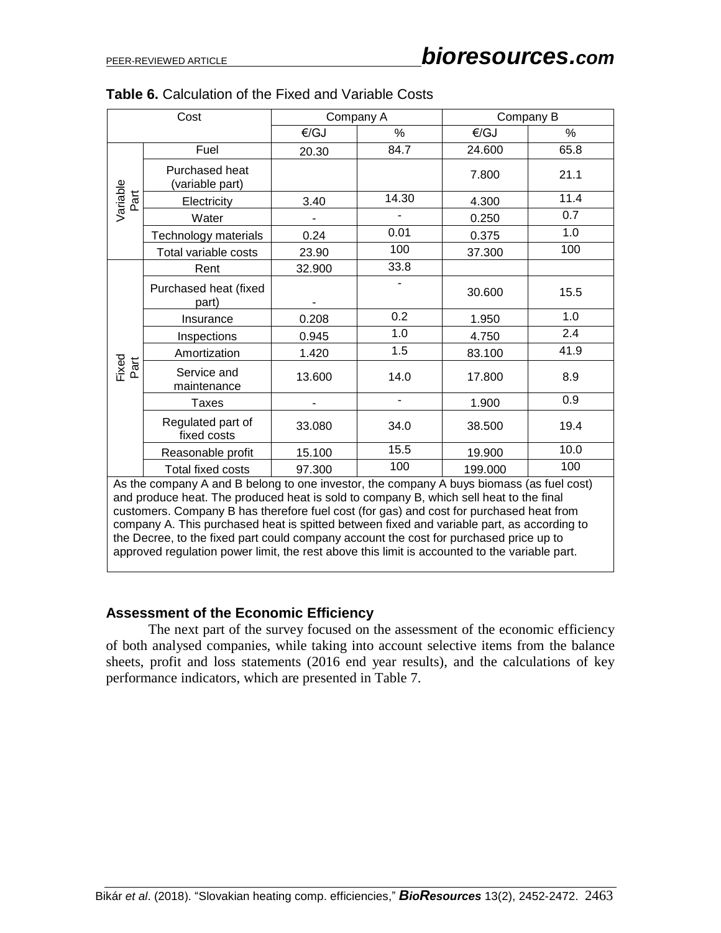| Cost             |                                                                                                                                                                                                                                                                               |        | Company A | Company B |      |  |  |
|------------------|-------------------------------------------------------------------------------------------------------------------------------------------------------------------------------------------------------------------------------------------------------------------------------|--------|-----------|-----------|------|--|--|
|                  |                                                                                                                                                                                                                                                                               | €/GJ   | %         | €/GJ      | %    |  |  |
|                  | Fuel                                                                                                                                                                                                                                                                          | 20.30  | 84.7      | 24.600    | 65.8 |  |  |
|                  | Purchased heat<br>(variable part)                                                                                                                                                                                                                                             |        |           | 7.800     | 21.1 |  |  |
| Variable<br>Part | Electricity                                                                                                                                                                                                                                                                   | 3.40   | 14.30     | 4.300     | 11.4 |  |  |
|                  | Water                                                                                                                                                                                                                                                                         |        |           | 0.250     | 0.7  |  |  |
|                  | Technology materials                                                                                                                                                                                                                                                          | 0.24   | 0.01      | 0.375     | 1.0  |  |  |
|                  | Total variable costs                                                                                                                                                                                                                                                          | 23.90  | 100       | 37.300    | 100  |  |  |
|                  | Rent                                                                                                                                                                                                                                                                          | 32.900 | 33.8      |           |      |  |  |
|                  | Purchased heat (fixed<br>part)                                                                                                                                                                                                                                                |        |           | 30.600    | 15.5 |  |  |
|                  | Insurance                                                                                                                                                                                                                                                                     | 0.208  | 0.2       | 1.950     | 1.0  |  |  |
|                  | Inspections                                                                                                                                                                                                                                                                   | 0.945  | 1.0       | 4.750     | 2.4  |  |  |
|                  | Amortization                                                                                                                                                                                                                                                                  | 1.420  | 1.5       | 83.100    | 41.9 |  |  |
| Fixed<br>Part    | Service and<br>maintenance                                                                                                                                                                                                                                                    | 13.600 | 14.0      | 17.800    | 8.9  |  |  |
|                  | <b>Taxes</b>                                                                                                                                                                                                                                                                  |        |           | 1.900     | 0.9  |  |  |
|                  | Regulated part of<br>fixed costs                                                                                                                                                                                                                                              | 33.080 | 34.0      | 38.500    | 19.4 |  |  |
|                  | Reasonable profit                                                                                                                                                                                                                                                             | 15.100 | 15.5      | 19.900    | 10.0 |  |  |
|                  | <b>Total fixed costs</b>                                                                                                                                                                                                                                                      | 97.300 | 100       | 199.000   | 100  |  |  |
|                  | As the company A and B belong to one investor, the company A buys biomass (as fuel cost)<br>and produce heat. The produced heat is sold to company B, which sell heat to the final<br>customers. Company B has therefore fuel cost (for gas) and cost for purchased heat from |        |           |           |      |  |  |

|  |  |  | Table 6. Calculation of the Fixed and Variable Costs |
|--|--|--|------------------------------------------------------|
|--|--|--|------------------------------------------------------|

company A. This purchased heat is spitted between fixed and variable part, as according to the Decree, to the fixed part could company account the cost for purchased price up to approved regulation power limit, the rest above this limit is accounted to the variable part.

## **Assessment of the Economic Efficiency**

The next part of the survey focused on the assessment of the economic efficiency of both analysed companies, while taking into account selective items from the balance sheets, profit and loss statements (2016 end year results), and the calculations of key performance indicators, which are presented in Table 7.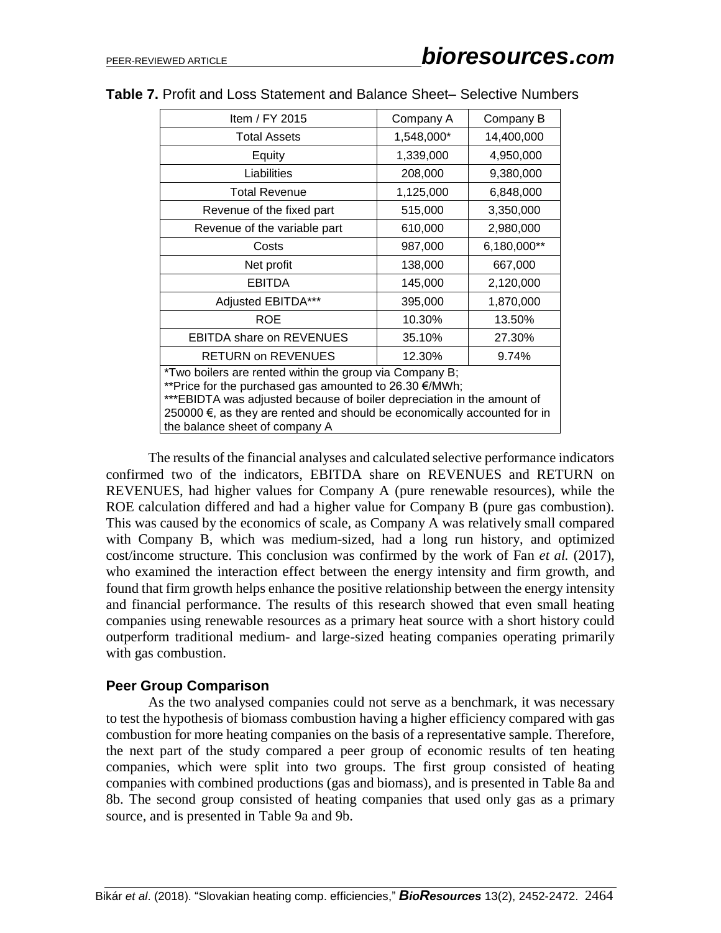| Item / FY 2015                                                                                                                                                                                                                                                                                            | Company A  | Company B   |  |  |  |
|-----------------------------------------------------------------------------------------------------------------------------------------------------------------------------------------------------------------------------------------------------------------------------------------------------------|------------|-------------|--|--|--|
| <b>Total Assets</b>                                                                                                                                                                                                                                                                                       | 1,548,000* | 14,400,000  |  |  |  |
| Equity                                                                                                                                                                                                                                                                                                    | 1,339,000  | 4,950,000   |  |  |  |
| Liabilities                                                                                                                                                                                                                                                                                               | 208,000    | 9,380,000   |  |  |  |
| <b>Total Revenue</b>                                                                                                                                                                                                                                                                                      | 1,125,000  | 6,848,000   |  |  |  |
| Revenue of the fixed part                                                                                                                                                                                                                                                                                 | 515,000    | 3,350,000   |  |  |  |
| Revenue of the variable part                                                                                                                                                                                                                                                                              | 610,000    | 2,980,000   |  |  |  |
| Costs                                                                                                                                                                                                                                                                                                     | 987,000    | 6,180,000** |  |  |  |
| Net profit                                                                                                                                                                                                                                                                                                | 138,000    | 667,000     |  |  |  |
| <b>EBITDA</b>                                                                                                                                                                                                                                                                                             | 145,000    | 2,120,000   |  |  |  |
| Adjusted EBITDA***                                                                                                                                                                                                                                                                                        | 395,000    | 1,870,000   |  |  |  |
| <b>ROE</b>                                                                                                                                                                                                                                                                                                | 10.30%     | 13.50%      |  |  |  |
| <b>EBITDA share on REVENUES</b>                                                                                                                                                                                                                                                                           | 35.10%     | 27.30%      |  |  |  |
| <b>RETURN on REVENUES</b>                                                                                                                                                                                                                                                                                 | 12.30%     | 9.74%       |  |  |  |
| *Two boilers are rented within the group via Company B;<br>**Price for the purchased gas amounted to 26.30 €/MWh;<br>***EBIDTA was adjusted because of boiler depreciation in the amount of<br>250000 €, as they are rented and should be economically accounted for in<br>the balance sheet of company A |            |             |  |  |  |

#### **Table 7.** Profit and Loss Statement and Balance Sheet– Selective Numbers

The results of the financial analyses and calculated selective performance indicators confirmed two of the indicators, EBITDA share on REVENUES and RETURN on REVENUES, had higher values for Company A (pure renewable resources), while the ROE calculation differed and had a higher value for Company B (pure gas combustion). This was caused by the economics of scale, as Company A was relatively small compared with Company B, which was medium-sized, had a long run history, and optimized cost/income structure. This conclusion was confirmed by the work of Fan *et al.* (2017), who examined the interaction effect between the energy intensity and firm growth, and found that firm growth helps enhance the positive relationship between the energy intensity and financial performance. The results of this research showed that even small heating companies using renewable resources as a primary heat source with a short history could outperform traditional medium- and large-sized heating companies operating primarily with gas combustion.

## **Peer Group Comparison**

As the two analysed companies could not serve as a benchmark, it was necessary to test the hypothesis of biomass combustion having a higher efficiency compared with gas combustion for more heating companies on the basis of a representative sample. Therefore, the next part of the study compared a peer group of economic results of ten heating companies, which were split into two groups. The first group consisted of heating companies with combined productions (gas and biomass), and is presented in Table 8a and 8b. The second group consisted of heating companies that used only gas as a primary source, and is presented in Table 9a and 9b.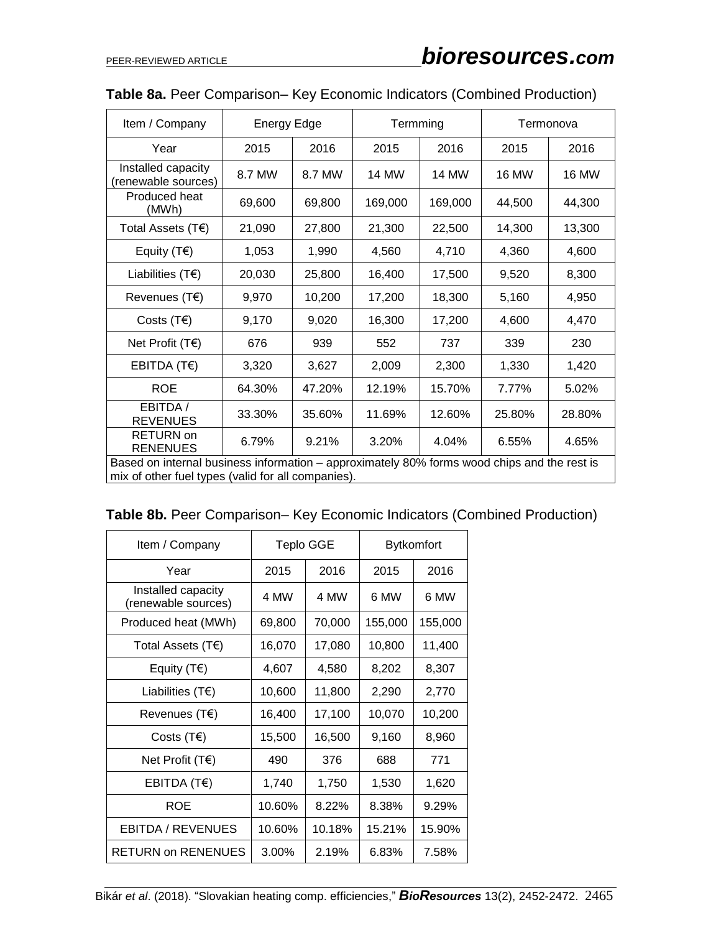| Item / Company                                                                              | <b>Energy Edge</b> |        | Termming     |              | Termonova    |              |
|---------------------------------------------------------------------------------------------|--------------------|--------|--------------|--------------|--------------|--------------|
| Year                                                                                        | 2015               | 2016   | 2015         | 2016         | 2015         | 2016         |
| Installed capacity<br>(renewable sources)                                                   | 8.7 MW             | 8.7 MW | <b>14 MW</b> | <b>14 MW</b> | <b>16 MW</b> | <b>16 MW</b> |
| Produced heat<br>(MWh)                                                                      | 69,600             | 69,800 | 169,000      | 169,000      | 44,500       | 44,300       |
| Total Assets $(TE)$                                                                         | 21,090             | 27,800 | 21,300       | 22,500       | 14,300       | 13,300       |
| Equity $(T \epsilon)$                                                                       | 1,053              | 1,990  | 4,560        | 4,710        | 4,360        | 4,600        |
| Liabilities $(TE)$                                                                          | 20,030             | 25,800 | 16,400       | 17,500       | 9,520        | 8,300        |
| Revenues (T€)                                                                               | 9,970              | 10,200 | 17,200       | 18,300       | 5,160        | 4,950        |
| Costs $(TE)$                                                                                | 9,170              | 9,020  | 16,300       | 17,200       | 4,600        | 4,470        |
| Net Profit $(TE)$                                                                           | 676                | 939    | 552          | 737          | 339          | 230          |
| EBITDA (T€)                                                                                 | 3,320              | 3,627  | 2,009        | 2,300        | 1,330        | 1,420        |
| <b>ROE</b>                                                                                  | 64.30%             | 47.20% | 12.19%       | 15.70%       | 7.77%        | 5.02%        |
| EBITDA /<br><b>REVENUES</b>                                                                 | 33.30%             | 35.60% | 11.69%       | 12.60%       | 25.80%       | 28.80%       |
| <b>RETURN</b> on<br><b>RENENUES</b>                                                         | 6.79%              | 9.21%  | 3.20%        | 4.04%        | 6.55%        | 4.65%        |
| Based on internal business information - approximately 80% forms wood chips and the rest is |                    |        |              |              |              |              |

# **Table 8a.** Peer Comparison– Key Economic Indicators (Combined Production)

mix of other fuel types (valid for all companies).

| Table 8b. Peer Comparison- Key Economic Indicators (Combined Production) |  |  |
|--------------------------------------------------------------------------|--|--|
|--------------------------------------------------------------------------|--|--|

| Item / Company                            | <b>Teplo GGE</b> |        | <b>Bytkomfort</b> |         |  |
|-------------------------------------------|------------------|--------|-------------------|---------|--|
| Year                                      | 2015             | 2016   | 2015              | 2016    |  |
| Installed capacity<br>(renewable sources) | 4 MW             | 4 MW   | 6 MW              | 6 MW    |  |
| Produced heat (MWh)                       | 69,800           | 70,000 | 155,000           | 155,000 |  |
| Total Assets $(TE)$                       | 16,070           | 17,080 | 10,800            | 11,400  |  |
| Equity (T $\epsilon$ )                    | 4,607            | 4,580  | 8,202             | 8,307   |  |
| Liabilities $(T \epsilon)$                | 10,600           | 11,800 | 2,290             | 2,770   |  |
| Revenues (T€)                             | 16,400           | 17,100 | 10,070            | 10,200  |  |
| Costs (T $\epsilon$ )                     | 15,500           | 16,500 | 9,160             | 8,960   |  |
| Net Profit $(TE)$                         | 490              | 376    | 688               | 771     |  |
| EBITDA (T $\epsilon$ )                    | 1,740            | 1,750  | 1,530             | 1,620   |  |
| ROE                                       | 10.60%           | 8.22%  | 8.38%             | 9.29%   |  |
| EBITDA / REVENUES                         | 10.60%           | 10.18% | 15.21%            | 15.90%  |  |
| <b>RETURN on RENENUES</b>                 | 3.00%            | 2.19%  | 6.83%             | 7.58%   |  |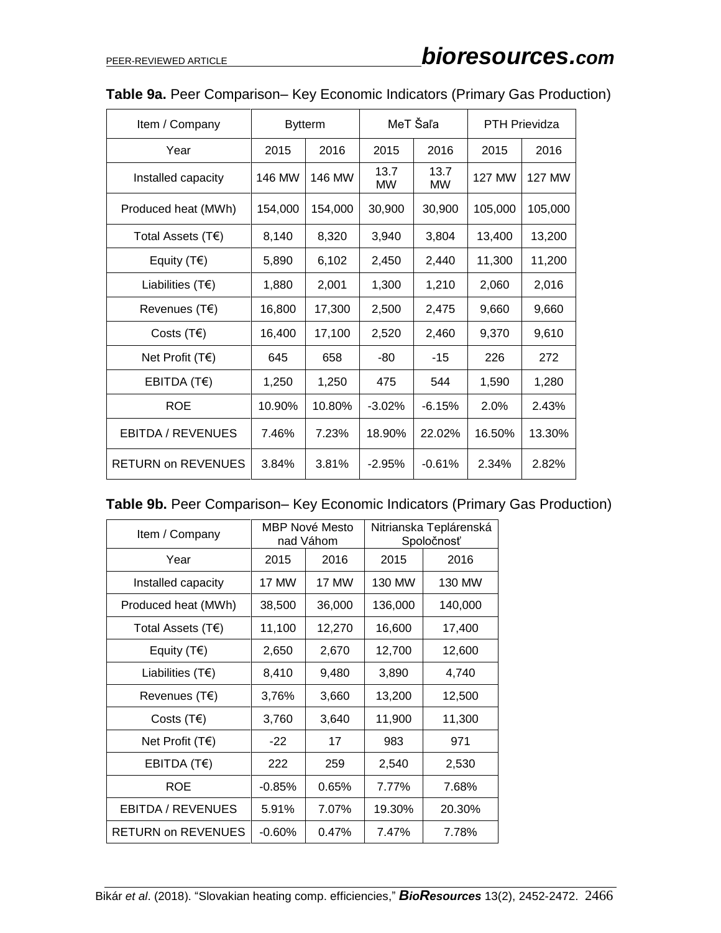| Item / Company             |         | <b>Bytterm</b> | MeT Šaľa   |                   | <b>PTH Prievidza</b> |               |
|----------------------------|---------|----------------|------------|-------------------|----------------------|---------------|
| Year                       | 2015    | 2016           | 2015       | 2016              | 2015                 | 2016          |
| Installed capacity         | 146 MW  | 146 MW         | 13.7<br>MW | 13.7<br><b>MW</b> | <b>127 MW</b>        | <b>127 MW</b> |
| Produced heat (MWh)        | 154,000 | 154,000        | 30,900     | 30,900            | 105,000              | 105,000       |
| Total Assets $(TE)$        | 8,140   | 8,320          | 3,940      | 3,804             | 13,400               | 13,200        |
| Equity $(T \epsilon)$      | 5,890   | 6,102          | 2,450      | 2,440             | 11,300               | 11,200        |
| Liabilities $(T \epsilon)$ | 1,880   | 2,001          | 1,300      | 1,210             | 2,060                | 2,016         |
| Revenues $(TE)$            | 16,800  | 17,300         | 2,500      | 2,475             | 9,660                | 9,660         |
| Costs $(T \epsilon)$       | 16,400  | 17,100         | 2,520      | 2,460             | 9,370                | 9,610         |
| Net Profit $(TE)$          | 645     | 658            | -80        | -15               | 226                  | 272           |
| EBITDA (T€)                | 1,250   | 1,250          | 475        | 544               | 1,590                | 1,280         |
| <b>ROE</b>                 | 10.90%  | 10.80%         | $-3.02%$   | $-6.15%$          | 2.0%                 | 2.43%         |
| EBITDA / REVENUES          | 7.46%   | 7.23%          | 18.90%     | 22.02%            | 16.50%               | 13.30%        |
| <b>RETURN on REVENUES</b>  | 3.84%   | 3.81%          | $-2.95\%$  | $-0.61%$          | 2.34%                | 2.82%         |

# **Table 9a.** Peer Comparison– Key Economic Indicators (Primary Gas Production)

|  |  | Table 9b. Peer Comparison– Key Economic Indicators (Primary Gas Production) |  |  |
|--|--|-----------------------------------------------------------------------------|--|--|
|--|--|-----------------------------------------------------------------------------|--|--|

| Item / Company             |           | <b>MBP Nové Mesto</b><br>nad Váhom | Nitrianska Teplárenská<br>Spoločnosť |         |  |
|----------------------------|-----------|------------------------------------|--------------------------------------|---------|--|
| Year                       | 2015      | 2016                               | 2015                                 | 2016    |  |
| Installed capacity         | 17 MW     | 17 MW                              | 130 MW                               | 130 MW  |  |
| Produced heat (MWh)        | 38,500    | 36,000                             | 136,000                              | 140,000 |  |
| Total Assets (T€)          | 11,100    | 12,270                             | 16,600                               | 17,400  |  |
| Equity (T $\epsilon$ )     | 2,650     | 2,670                              | 12,700                               | 12,600  |  |
| Liabilities $(T \epsilon)$ | 8,410     | 9,480                              | 3,890                                | 4,740   |  |
| Revenues (T€)              | 3,76%     | 3,660                              | 13,200                               | 12,500  |  |
| Costs $(T \epsilon)$       | 3,760     | 3,640                              | 11,900                               | 11,300  |  |
| Net Profit $(TE)$          | $-22$     | 17                                 | 983                                  | 971     |  |
| EBITDA (T€)                | 222       | 259                                | 2,540                                | 2,530   |  |
| ROE                        | $-0.85%$  | 0.65%                              | 7.77%                                | 7.68%   |  |
| EBITDA / REVENUES          | 5.91%     | 7.07%                              | 19.30%                               | 20.30%  |  |
| RETURN on REVENUES         | $-0.60\%$ | $0.47\%$                           | 7.47%                                | 7.78%   |  |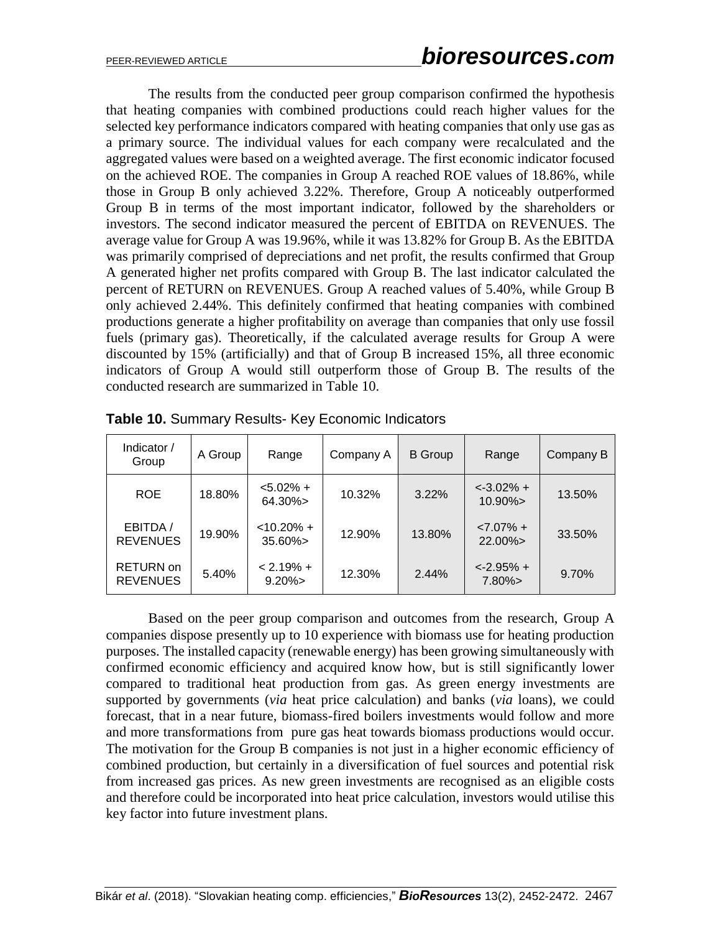The results from the conducted peer group comparison confirmed the hypothesis that heating companies with combined productions could reach higher values for the selected key performance indicators compared with heating companies that only use gas as a primary source. The individual values for each company were recalculated and the aggregated values were based on a weighted average. The first economic indicator focused on the achieved ROE. The companies in Group A reached ROE values of 18.86%, while those in Group B only achieved 3.22%. Therefore, Group A noticeably outperformed Group B in terms of the most important indicator, followed by the shareholders or investors. The second indicator measured the percent of EBITDA on REVENUES. The average value for Group A was 19.96%, while it was 13.82% for Group B. As the EBITDA was primarily comprised of depreciations and net profit, the results confirmed that Group A generated higher net profits compared with Group B. The last indicator calculated the percent of RETURN on REVENUES. Group A reached values of 5.40%, while Group B only achieved 2.44%. This definitely confirmed that heating companies with combined productions generate a higher profitability on average than companies that only use fossil fuels (primary gas). Theoretically, if the calculated average results for Group A were discounted by 15% (artificially) and that of Group B increased 15%, all three economic indicators of Group A would still outperform those of Group B. The results of the conducted research are summarized in Table 10.

| Indicator /<br>Group                | A Group | Range                     | Company A | <b>B</b> Group | Range                              | Company B |
|-------------------------------------|---------|---------------------------|-----------|----------------|------------------------------------|-----------|
| <b>ROE</b>                          | 18.80%  | $< 5.02\% +$<br>$64.30\%$ | 10.32%    | 3.22%          | $\leftarrow 3.02\% +$<br>$10.90\%$ | 13.50%    |
| EBITDA /<br><b>REVENUES</b>         | 19.90%  | $< 10.20% +$<br>$35.60\%$ | 12.90%    | 13.80%         | $< 7.07\% +$<br>$22.00\%$          | 33.50%    |
| <b>RETURN</b> on<br><b>REVENUES</b> | 5.40%   | $< 2.19\% +$<br>$9.20\%$  | 12.30%    | 2.44%          | $<-2.95% +$<br>$7.80\%$            | 9.70%     |

**Table 10.** Summary Results- Key Economic Indicators

Based on the peer group comparison and outcomes from the research, Group A companies dispose presently up to 10 experience with biomass use for heating production purposes. The installed capacity (renewable energy) has been growing simultaneously with confirmed economic efficiency and acquired know how, but is still significantly lower compared to traditional heat production from gas. As green energy investments are supported by governments (*via* heat price calculation) and banks (*via* loans), we could forecast, that in a near future, biomass-fired boilers investments would follow and more and more transformations from pure gas heat towards biomass productions would occur. The motivation for the Group B companies is not just in a higher economic efficiency of combined production, but certainly in a diversification of fuel sources and potential risk from increased gas prices. As new green investments are recognised as an eligible costs and therefore could be incorporated into heat price calculation, investors would utilise this key factor into future investment plans.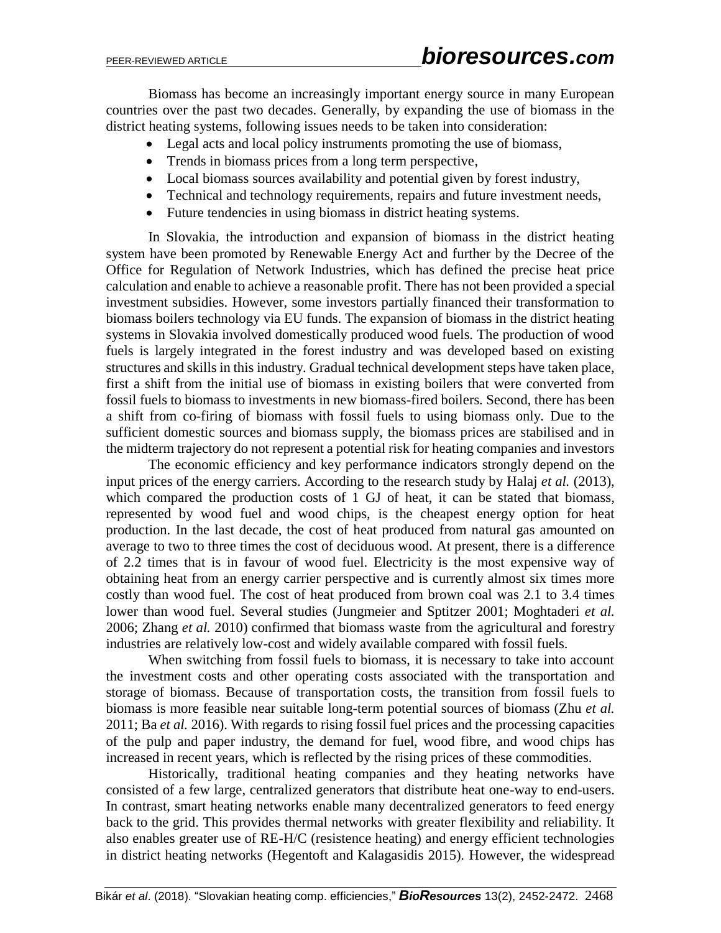Biomass has become an increasingly important energy source in many European countries over the past two decades. Generally, by expanding the use of biomass in the district heating systems, following issues needs to be taken into consideration:

- Legal acts and local policy instruments promoting the use of biomass,
- Trends in biomass prices from a long term perspective,
- Local biomass sources availability and potential given by forest industry,
- Technical and technology requirements, repairs and future investment needs,
- Future tendencies in using biomass in district heating systems.

In Slovakia, the introduction and expansion of biomass in the district heating system have been promoted by Renewable Energy Act and further by the Decree of the Office for Regulation of Network Industries, which has defined the precise heat price calculation and enable to achieve a reasonable profit. There has not been provided a special investment subsidies. However, some investors partially financed their transformation to biomass boilers technology via EU funds. The expansion of biomass in the district heating systems in Slovakia involved domestically produced wood fuels. The production of wood fuels is largely integrated in the forest industry and was developed based on existing structures and skills in this industry. Gradual technical development steps have taken place, first a shift from the initial use of biomass in existing boilers that were converted from fossil fuels to biomass to investments in new biomass-fired boilers. Second, there has been a shift from co-firing of biomass with fossil fuels to using biomass only. Due to the sufficient domestic sources and biomass supply, the biomass prices are stabilised and in the midterm trajectory do not represent a potential risk for heating companies and investors

The economic efficiency and key performance indicators strongly depend on the input prices of the energy carriers. According to the research study by Halaj *et al.* (2013), which compared the production costs of 1 GJ of heat, it can be stated that biomass, represented by wood fuel and wood chips, is the cheapest energy option for heat production. In the last decade, the cost of heat produced from natural gas amounted on average to two to three times the cost of deciduous wood. At present, there is a difference of 2.2 times that is in favour of wood fuel. Electricity is the most expensive way of obtaining heat from an energy carrier perspective and is currently almost six times more costly than wood fuel. The cost of heat produced from brown coal was 2.1 to 3.4 times lower than wood fuel. Several studies (Jungmeier and Sptitzer 2001; Moghtaderi *et al.* 2006; Zhang *et al.* 2010) confirmed that biomass waste from the agricultural and forestry industries are relatively low-cost and widely available compared with fossil fuels.

When switching from fossil fuels to biomass, it is necessary to take into account the investment costs and other operating costs associated with the transportation and storage of biomass. Because of transportation costs, the transition from fossil fuels to biomass is more feasible near suitable long-term potential sources of biomass (Zhu *et al.* 2011; Ba *et al.* 2016). With regards to rising fossil fuel prices and the processing capacities of the pulp and paper industry, the demand for fuel, wood fibre, and wood chips has increased in recent years, which is reflected by the rising prices of these commodities.

Historically, traditional heating companies and they heating networks have consisted of a few large, centralized generators that distribute heat one-way to end-users. In contrast, smart heating networks enable many decentralized generators to feed energy back to the grid. This provides thermal networks with greater flexibility and reliability. It also enables greater use of RE-H/C (resistence heating) and energy efficient technologies in district heating networks (Hegentoft and Kalagasidis 2015). However, the widespread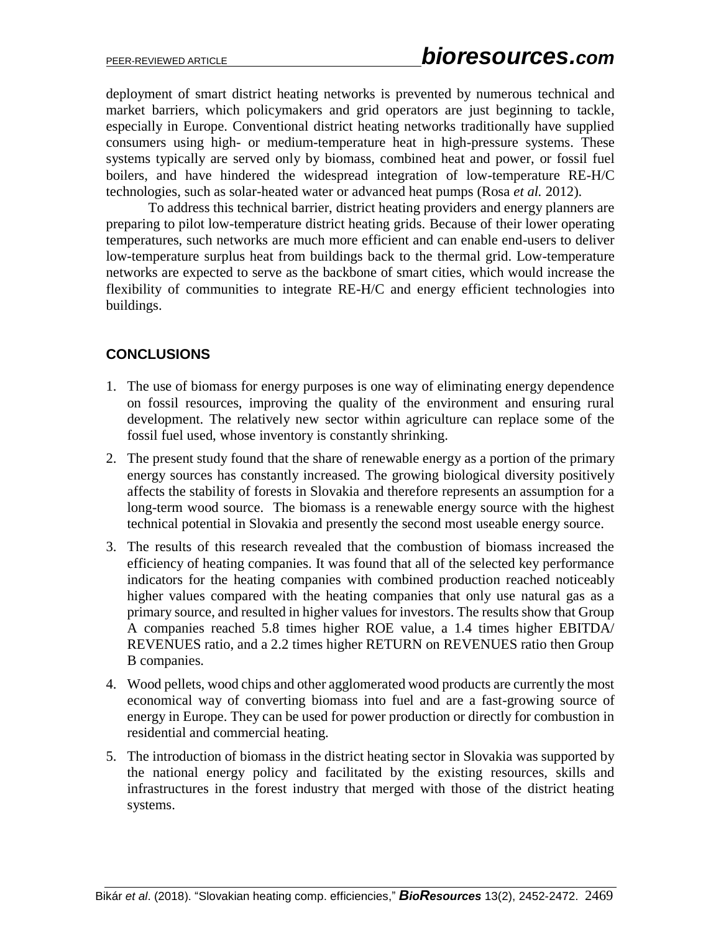deployment of smart district heating networks is prevented by numerous technical and market barriers, which policymakers and grid operators are just beginning to tackle, especially in Europe. Conventional district heating networks traditionally have supplied consumers using high- or medium-temperature heat in high-pressure systems. These systems typically are served only by biomass, combined heat and power, or fossil fuel boilers, and have hindered the widespread integration of low-temperature RE-H/C technologies, such as solar-heated water or advanced heat pumps (Rosa *et al.* 2012).

To address this technical barrier, district heating providers and energy planners are preparing to pilot low-temperature district heating grids. Because of their lower operating temperatures, such networks are much more efficient and can enable end-users to deliver low-temperature surplus heat from buildings back to the thermal grid. Low-temperature networks are expected to serve as the backbone of smart cities, which would increase the flexibility of communities to integrate RE-H/C and energy efficient technologies into buildings.

## **CONCLUSIONS**

- 1. The use of biomass for energy purposes is one way of eliminating energy dependence on fossil resources, improving the quality of the environment and ensuring rural development. The relatively new sector within agriculture can replace some of the fossil fuel used, whose inventory is constantly shrinking.
- 2. The present study found that the share of renewable energy as a portion of the primary energy sources has constantly increased. The growing biological diversity positively affects the stability of forests in Slovakia and therefore represents an assumption for a long-term wood source. The biomass is a renewable energy source with the highest technical potential in Slovakia and presently the second most useable energy source.
- 3. The results of this research revealed that the combustion of biomass increased the efficiency of heating companies. It was found that all of the selected key performance indicators for the heating companies with combined production reached noticeably higher values compared with the heating companies that only use natural gas as a primary source, and resulted in higher values for investors. The results show that Group A companies reached 5.8 times higher ROE value, a 1.4 times higher EBITDA/ REVENUES ratio, and a 2.2 times higher RETURN on REVENUES ratio then Group B companies.
- 4. Wood pellets, wood chips and other agglomerated wood products are currently the most economical way of converting biomass into fuel and are a fast-growing source of energy in Europe. They can be used for power production or directly for combustion in residential and commercial heating.
- 5. The introduction of biomass in the district heating sector in Slovakia was supported by the national energy policy and facilitated by the existing resources, skills and infrastructures in the forest industry that merged with those of the district heating systems.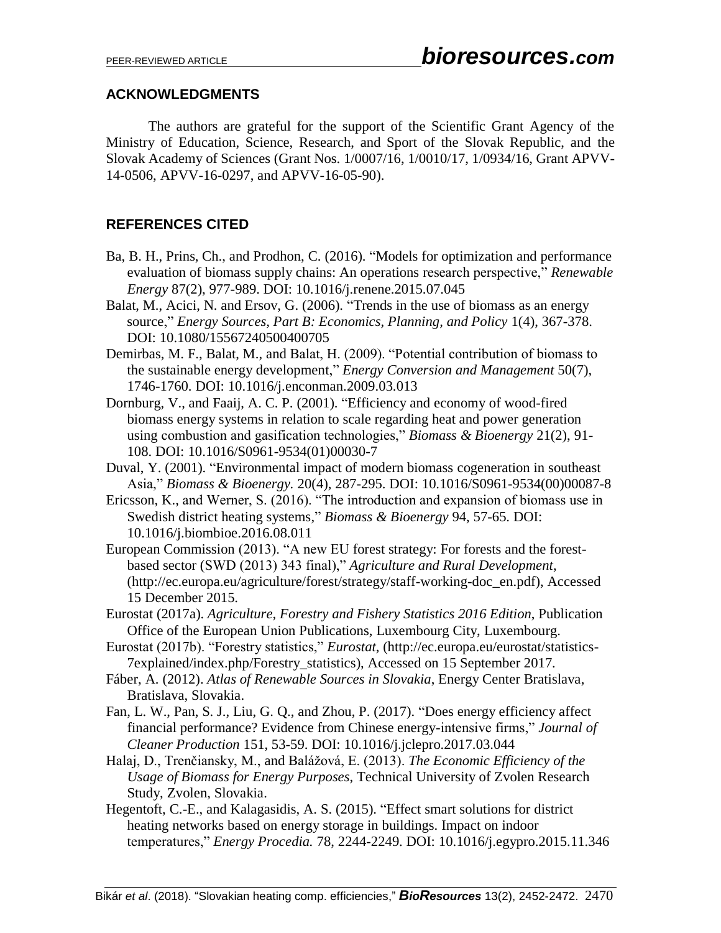## **ACKNOWLEDGMENTS**

The authors are grateful for the support of the Scientific Grant Agency of the Ministry of Education, Science, Research, and Sport of the Slovak Republic, and the Slovak Academy of Sciences (Grant Nos. 1/0007/16, 1/0010/17, 1/0934/16, Grant APVV-14-0506, APVV-16-0297, and APVV-16-05-90).

## **REFERENCES CITED**

- Ba, B. H., Prins, Ch., and Prodhon, C. (2016). "Models for optimization and performance evaluation of biomass supply chains: An operations research perspective," *Renewable Energy* 87(2), 977-989. DOI: 10.1016/j.renene.2015.07.045
- Balat, M., Acici, N. and Ersov, G. (2006). "Trends in the use of biomass as an energy source," *Energy Sources, Part B: Economics, Planning, and Policy* 1(4), 367-378. DOI: 10.1080/15567240500400705
- Demirbas, M. F., Balat, M., and Balat, H. (2009). "Potential contribution of biomass to the sustainable energy development," *Energy Conversion and Management* 50(7), 1746-1760. DOI: 10.1016/j.enconman.2009.03.013
- Dornburg, V., and Faaij, A. C. P. (2001). "Efficiency and economy of wood-fired biomass energy systems in relation to scale regarding heat and power generation using combustion and gasification technologies," *Biomass & Bioenergy* 21(2), 91- 108. DOI: 10.1016/S0961-9534(01)00030-7
- Duval, Y. (2001). "Environmental impact of modern biomass cogeneration in southeast Asia," *Biomass & Bioenergy.* 20(4), 287-295. DOI: 10.1016/S0961-9534(00)00087-8
- Ericsson, K., and Werner, S. (2016). "The introduction and expansion of biomass use in Swedish district heating systems," *Biomass & Bioenergy* 94, 57-65. DOI: 10.1016/j.biombioe.2016.08.011
- European Commission (2013). "A new EU forest strategy: For forests and the forestbased sector (SWD (2013) 343 final)," *Agriculture and Rural Development*, (http://ec.europa.eu/agriculture/forest/strategy/staff-working-doc\_en.pdf), Accessed 15 December 2015.
- Eurostat (2017a). *Agriculture, Forestry and Fishery Statistics 2016 Edition*, Publication Office of the European Union Publications, Luxembourg City, Luxembourg.
- Eurostat (2017b). "Forestry statistics," *Eurostat*, (http://ec.europa.eu/eurostat/statistics-7explained/index.php/Forestry\_statistics), Accessed on 15 September 2017.
- Fáber, A. (2012). *Atlas of Renewable Sources in Slovakia*, Energy Center Bratislava, Bratislava, Slovakia.
- Fan, L. W., Pan, S. J., Liu, G. Q., and Zhou, P. (2017). "Does energy efficiency affect financial performance? Evidence from Chinese energy-intensive firms," *Journal of Cleaner Production* 151, 53-59. DOI: 10.1016/j.jclepro.2017.03.044
- Halaj, D., Trenčiansky, M., and Balážová, E. (2013). *The Economic Efficiency of the Usage of Biomass for Energy Purposes*, Technical University of Zvolen Research Study, Zvolen, Slovakia.
- Hegentoft, C.-E., and Kalagasidis, A. S. (2015). "Effect smart solutions for district heating networks based on energy storage in buildings. Impact on indoor temperatures," *Energy Procedia.* 78, 2244-2249. DOI: 10.1016/j.egypro.2015.11.346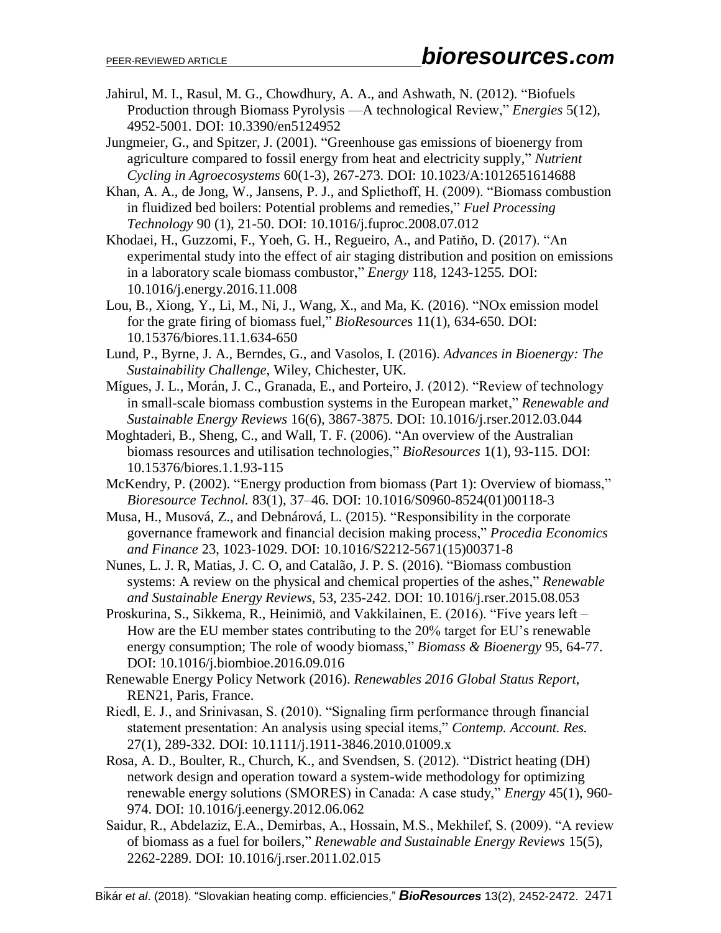- Jahirul, M. I., Rasul, M. G., Chowdhury, A. A., and Ashwath, N. (2012). "Biofuels Production through Biomass Pyrolysis —A technological Review," *Energies* 5(12), 4952-5001. DOI: 10.3390/en5124952
- Jungmeier, G., and Spitzer, J. (2001). "Greenhouse gas emissions of bioenergy from agriculture compared to fossil energy from heat and electricity supply," *Nutrient Cycling in Agroecosystems* 60(1-3), 267-273. DOI: 10.1023/A:1012651614688
- Khan, A. A., de Jong, W., Jansens, P. J., and Spliethoff, H. (2009). "Biomass combustion in fluidized bed boilers: Potential problems and remedies," *Fuel Processing Technology* 90 (1), 21-50. DOI: 10.1016/j.fuproc.2008.07.012
- Khodaei, H., Guzzomi, F., Yoeh, G. H., Regueiro, A., and Patiňo, D. (2017). "An experimental study into the effect of air staging distribution and position on emissions in a laboratory scale biomass combustor," *Energy* 118, 1243-1255*.* DOI: 10.1016/j.energy.2016.11.008
- Lou, B., Xiong, Y., Li, M., Ni, J., Wang, X., and Ma, K. (2016). "NOx emission model for the grate firing of biomass fuel," *BioResource*s 11(1), 634-650. DOI: 10.15376/biores.11.1.634-650
- Lund, P., Byrne, J. A., Berndes, G., and Vasolos, I. (2016). *Advances in Bioenergy: The Sustainability Challenge*, Wiley, Chichester, UK.
- Mígues, J. L., Morán, J. C., Granada, E., and Porteiro, J. (2012). "Review of technology in small-scale biomass combustion systems in the European market," *Renewable and Sustainable Energy Reviews* 16(6), 3867-3875. DOI: 10.1016/j.rser.2012.03.044
- Moghtaderi, B., Sheng, C., and Wall, T. F. (2006). "An overview of the Australian biomass resources and utilisation technologies," *BioResources* 1(1), 93-115. DOI: 10.15376/biores.1.1.93-115
- McKendry, P. (2002). "Energy production from biomass (Part 1): Overview of biomass," *Bioresource Technol.* 83(1), 37–46. DOI: 10.1016/S0960-8524(01)00118-3
- Musa, H., Musová, Z., and Debnárová, L. (2015). "Responsibility in the corporate governance framework and financial decision making process," *Procedia Economics and Finance* 23, 1023-1029. DOI: 10.1016/S2212-5671(15)00371-8
- Nunes, L. J. R, Matias, J. C. O, and Catalão, J. P. S. (2016). "Biomass combustion systems: A review on the physical and chemical properties of the ashes," *Renewable and Sustainable Energy Reviews,* 53, 235-242. DOI: 10.1016/j.rser.2015.08.053
- Proskurina, S., Sikkema, R., Heinimiö, and Vakkilainen, E. (2016). "Five years left How are the EU member states contributing to the 20% target for EU's renewable energy consumption; The role of woody biomass," *Biomass & Bioenergy* 95, 64-77. DOI: 10.1016/j.biombioe.2016.09.016
- Renewable Energy Policy Network (2016). *Renewables 2016 Global Status Report*, REN21, Paris, France.
- Riedl, E. J., and Srinivasan, S. (2010). "Signaling firm performance through financial statement presentation: An analysis using special items," *Contemp. Account. Res.*  27(1), 289-332. DOI: 10.1111/j.1911-3846.2010.01009.x
- Rosa, A. D., Boulter, R., Church, K., and Svendsen, S. (2012). "District heating (DH) network design and operation toward a system-wide methodology for optimizing renewable energy solutions (SMORES) in Canada: A case study," *Energy* 45(1), 960- 974. DOI: 10.1016/j.eenergy.2012.06.062
- Saidur, R., Abdelaziz, E.A., Demirbas, A., Hossain, M.S., Mekhilef, S. (2009). "A review of biomass as a fuel for boilers," *Renewable and Sustainable Energy Reviews* 15(5), 2262-2289. DOI: 10.1016/j.rser.2011.02.015